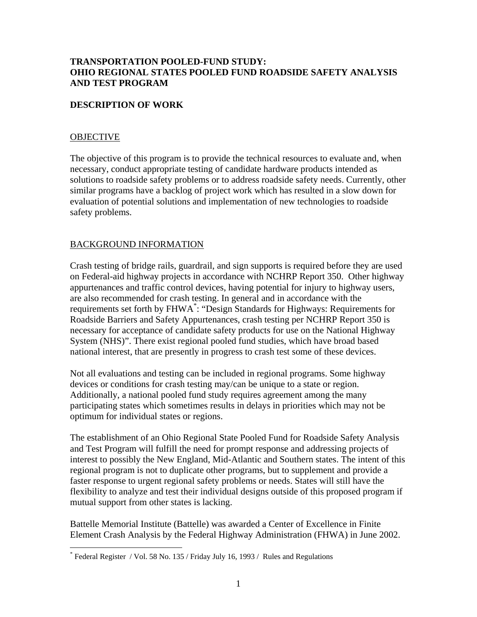## **TRANSPORTATION POOLED-FUND STUDY: OHIO REGIONAL STATES POOLED FUND ROADSIDE SAFETY ANALYSIS AND TEST PROGRAM**

### **DESCRIPTION OF WORK**

#### **OBJECTIVE**

<u>.</u>

The objective of this program is to provide the technical resources to evaluate and, when necessary, conduct appropriate testing of candidate hardware products intended as solutions to roadside safety problems or to address roadside safety needs. Currently, other similar programs have a backlog of project work which has resulted in a slow down for evaluation of potential solutions and implementation of new technologies to roadside safety problems.

### BACKGROUND INFORMATION

Crash testing of bridge rails, guardrail, and sign supports is required before they are used on Federal-aid highway projects in accordance with NCHRP Report 350. Other highway appurtenances and traffic control devices, having potential for injury to highway users, are also recommended for crash testing. In general and in accordance with the requirements set forth by FHWA<sup>\*</sup>: "Design Standards for Highways: Requirements for Roadside Barriers and Safety Appurtenances, crash testing per NCHRP Report 350 is necessary for acceptance of candidate safety products for use on the National Highway System (NHS)". There exist regional pooled fund studies, which have broad based national interest, that are presently in progress to crash test some of these devices.

Not all evaluations and testing can be included in regional programs. Some highway devices or conditions for crash testing may/can be unique to a state or region. Additionally, a national pooled fund study requires agreement among the many participating states which sometimes results in delays in priorities which may not be optimum for individual states or regions.

The establishment of an Ohio Regional State Pooled Fund for Roadside Safety Analysis and Test Program will fulfill the need for prompt response and addressing projects of interest to possibly the New England, Mid-Atlantic and Southern states. The intent of this regional program is not to duplicate other programs, but to supplement and provide a faster response to urgent regional safety problems or needs. States will still have the flexibility to analyze and test their individual designs outside of this proposed program if mutual support from other states is lacking.

Battelle Memorial Institute (Battelle) was awarded a Center of Excellence in Finite Element Crash Analysis by the Federal Highway Administration (FHWA) in June 2002.

<span id="page-0-0"></span><sup>\*</sup> Federal Register / Vol. 58 No. 135 / Friday July 16, 1993 / Rules and Regulations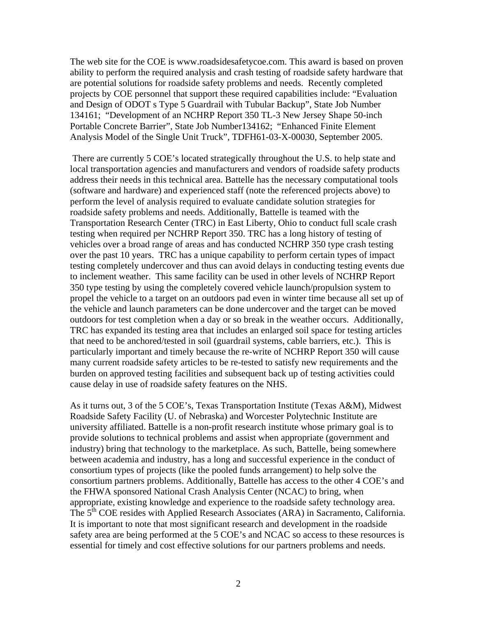The web site for the COE is www.roadsidesafetycoe.com. This award is based on proven ability to perform the required analysis and crash testing of roadside safety hardware that are potential solutions for roadside safety problems and needs. Recently completed projects by COE personnel that support these required capabilities include: "Evaluation and Design of ODOT s Type 5 Guardrail with Tubular Backup", State Job Number 134161; "Development of an NCHRP Report 350 TL-3 New Jersey Shape 50-inch Portable Concrete Barrier", State Job Number134162; "Enhanced Finite Element Analysis Model of the Single Unit Truck", TDFH61-03-X-00030, September 2005.

 There are currently 5 COE's located strategically throughout the U.S. to help state and local transportation agencies and manufacturers and vendors of roadside safety products address their needs in this technical area. Battelle has the necessary computational tools (software and hardware) and experienced staff (note the referenced projects above) to perform the level of analysis required to evaluate candidate solution strategies for roadside safety problems and needs. Additionally, Battelle is teamed with the Transportation Research Center (TRC) in East Liberty, Ohio to conduct full scale crash testing when required per NCHRP Report 350. TRC has a long history of testing of vehicles over a broad range of areas and has conducted NCHRP 350 type crash testing over the past 10 years. TRC has a unique capability to perform certain types of impact testing completely undercover and thus can avoid delays in conducting testing events due to inclement weather. This same facility can be used in other levels of NCHRP Report 350 type testing by using the completely covered vehicle launch/propulsion system to propel the vehicle to a target on an outdoors pad even in winter time because all set up of the vehicle and launch parameters can be done undercover and the target can be moved outdoors for test completion when a day or so break in the weather occurs. Additionally, TRC has expanded its testing area that includes an enlarged soil space for testing articles that need to be anchored/tested in soil (guardrail systems, cable barriers, etc.). This is particularly important and timely because the re-write of NCHRP Report 350 will cause many current roadside safety articles to be re-tested to satisfy new requirements and the burden on approved testing facilities and subsequent back up of testing activities could cause delay in use of roadside safety features on the NHS.

As it turns out, 3 of the 5 COE's, Texas Transportation Institute (Texas A&M), Midwest Roadside Safety Facility (U. of Nebraska) and Worcester Polytechnic Institute are university affiliated. Battelle is a non-profit research institute whose primary goal is to provide solutions to technical problems and assist when appropriate (government and industry) bring that technology to the marketplace. As such, Battelle, being somewhere between academia and industry, has a long and successful experience in the conduct of consortium types of projects (like the pooled funds arrangement) to help solve the consortium partners problems. Additionally, Battelle has access to the other 4 COE's and the FHWA sponsored National Crash Analysis Center (NCAC) to bring, when appropriate, existing knowledge and experience to the roadside safety technology area. The 5<sup>th</sup> COE resides with Applied Research Associates (ARA) in Sacramento, California. It is important to note that most significant research and development in the roadside safety area are being performed at the 5 COE's and NCAC so access to these resources is essential for timely and cost effective solutions for our partners problems and needs.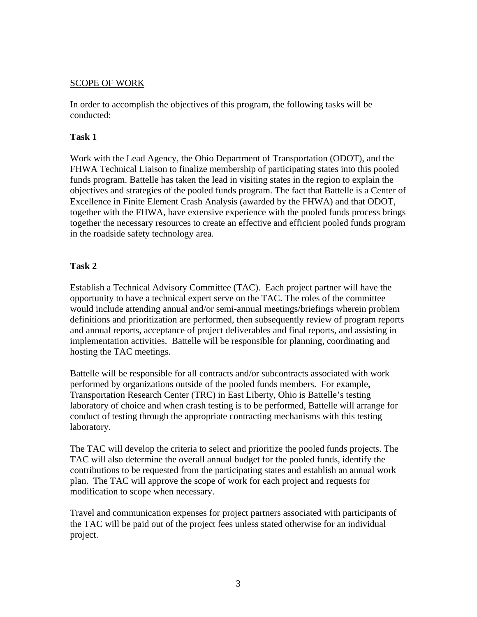## SCOPE OF WORK

In order to accomplish the objectives of this program, the following tasks will be conducted:

### **Task 1**

Work with the Lead Agency, the Ohio Department of Transportation (ODOT), and the FHWA Technical Liaison to finalize membership of participating states into this pooled funds program. Battelle has taken the lead in visiting states in the region to explain the objectives and strategies of the pooled funds program. The fact that Battelle is a Center of Excellence in Finite Element Crash Analysis (awarded by the FHWA) and that ODOT, together with the FHWA, have extensive experience with the pooled funds process brings together the necessary resources to create an effective and efficient pooled funds program in the roadside safety technology area.

# **Task 2**

Establish a Technical Advisory Committee (TAC). Each project partner will have the opportunity to have a technical expert serve on the TAC. The roles of the committee would include attending annual and/or semi-annual meetings/briefings wherein problem definitions and prioritization are performed, then subsequently review of program reports and annual reports, acceptance of project deliverables and final reports, and assisting in implementation activities. Battelle will be responsible for planning, coordinating and hosting the TAC meetings.

Battelle will be responsible for all contracts and/or subcontracts associated with work performed by organizations outside of the pooled funds members. For example, Transportation Research Center (TRC) in East Liberty, Ohio is Battelle's testing laboratory of choice and when crash testing is to be performed, Battelle will arrange for conduct of testing through the appropriate contracting mechanisms with this testing laboratory.

The TAC will develop the criteria to select and prioritize the pooled funds projects. The TAC will also determine the overall annual budget for the pooled funds, identify the contributions to be requested from the participating states and establish an annual work plan. The TAC will approve the scope of work for each project and requests for modification to scope when necessary.

Travel and communication expenses for project partners associated with participants of the TAC will be paid out of the project fees unless stated otherwise for an individual project.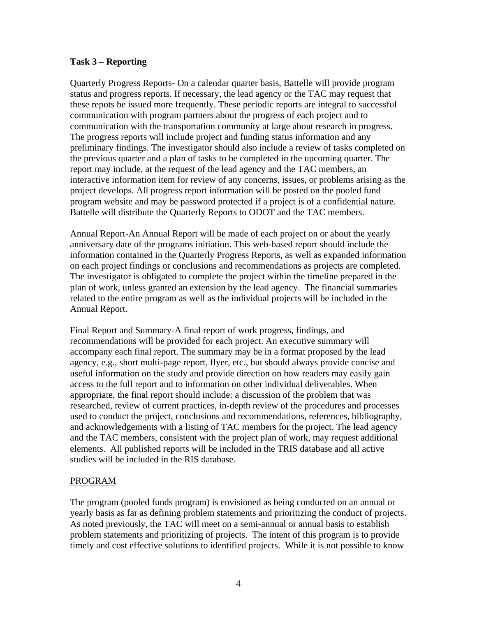#### **Task 3 – Reporting**

Quarterly Progress Reports- On a calendar quarter basis, Battelle will provide program status and progress reports. If necessary, the lead agency or the TAC may request that these repots be issued more frequently. These periodic reports are integral to successful communication with program partners about the progress of each project and to communication with the transportation community at large about research in progress. The progress reports will include project and funding status information and any preliminary findings. The investigator should also include a review of tasks completed on the previous quarter and a plan of tasks to be completed in the upcoming quarter. The report may include, at the request of the lead agency and the TAC members, an interactive information item for review of any concerns, issues, or problems arising as the project develops. All progress report information will be posted on the pooled fund program website and may be password protected if a project is of a confidential nature. Battelle will distribute the Quarterly Reports to ODOT and the TAC members.

Annual Report-An Annual Report will be made of each project on or about the yearly anniversary date of the programs initiation. This web-based report should include the information contained in the Quarterly Progress Reports, as well as expanded information on each project findings or conclusions and recommendations as projects are completed. The investigator is obligated to complete the project within the timeline prepared in the plan of work, unless granted an extension by the lead agency. The financial summaries related to the entire program as well as the individual projects will be included in the Annual Report.

Final Report and Summary-A final report of work progress, findings, and recommendations will be provided for each project. An executive summary will accompany each final report. The summary may be in a format proposed by the lead agency, e.g., short multi-page report, flyer, etc., but should always provide concise and useful information on the study and provide direction on how readers may easily gain access to the full report and to information on other individual deliverables. When appropriate, the final report should include: a discussion of the problem that was researched, review of current practices, in-depth review of the procedures and processes used to conduct the project, conclusions and recommendations, references, bibliography, and acknowledgements with a listing of TAC members for the project. The lead agency and the TAC members, consistent with the project plan of work, may request additional elements. All published reports will be included in the TRIS database and all active studies will be included in the RIS database.

# PROGRAM

The program (pooled funds program) is envisioned as being conducted on an annual or yearly basis as far as defining problem statements and prioritizing the conduct of projects. As noted previously, the TAC will meet on a semi-annual or annual basis to establish problem statements and prioritizing of projects. The intent of this program is to provide timely and cost effective solutions to identified projects. While it is not possible to know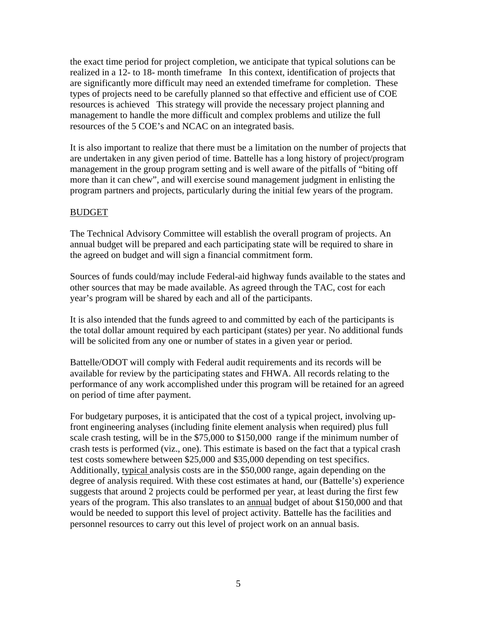the exact time period for project completion, we anticipate that typical solutions can be realized in a 12- to 18- month timeframe In this context, identification of projects that are significantly more difficult may need an extended timeframe for completion. These types of projects need to be carefully planned so that effective and efficient use of COE resources is achieved This strategy will provide the necessary project planning and management to handle the more difficult and complex problems and utilize the full resources of the 5 COE's and NCAC on an integrated basis.

It is also important to realize that there must be a limitation on the number of projects that are undertaken in any given period of time. Battelle has a long history of project/program management in the group program setting and is well aware of the pitfalls of "biting off more than it can chew", and will exercise sound management judgment in enlisting the program partners and projects, particularly during the initial few years of the program.

### BUDGET

The Technical Advisory Committee will establish the overall program of projects. An annual budget will be prepared and each participating state will be required to share in the agreed on budget and will sign a financial commitment form.

Sources of funds could/may include Federal-aid highway funds available to the states and other sources that may be made available. As agreed through the TAC, cost for each year's program will be shared by each and all of the participants.

It is also intended that the funds agreed to and committed by each of the participants is the total dollar amount required by each participant (states) per year. No additional funds will be solicited from any one or number of states in a given year or period.

Battelle/ODOT will comply with Federal audit requirements and its records will be available for review by the participating states and FHWA. All records relating to the performance of any work accomplished under this program will be retained for an agreed on period of time after payment.

For budgetary purposes, it is anticipated that the cost of a typical project, involving upfront engineering analyses (including finite element analysis when required) plus full scale crash testing, will be in the \$75,000 to \$150,000 range if the minimum number of crash tests is performed (viz., one). This estimate is based on the fact that a typical crash test costs somewhere between \$25,000 and \$35,000 depending on test specifics. Additionally, typical analysis costs are in the \$50,000 range, again depending on the degree of analysis required. With these cost estimates at hand, our (Battelle's) experience suggests that around 2 projects could be performed per year, at least during the first few years of the program. This also translates to an annual budget of about \$150,000 and that would be needed to support this level of project activity. Battelle has the facilities and personnel resources to carry out this level of project work on an annual basis.